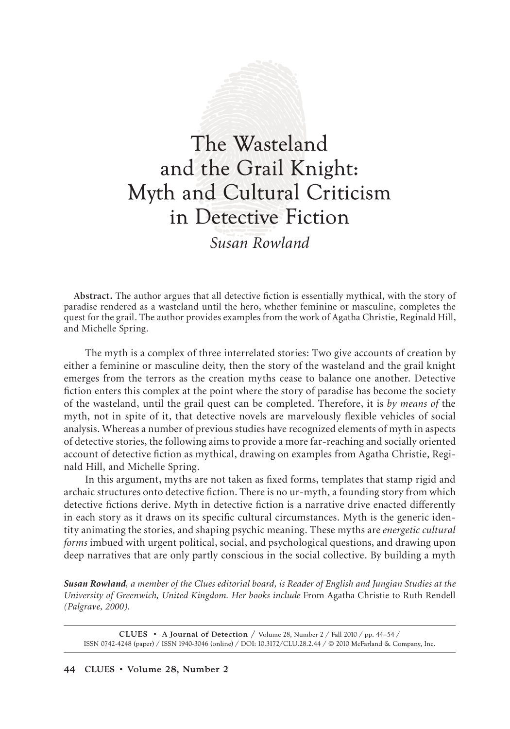# The Wasteland and the Grail Knight: Myth and Cultural Criticism in Detective Fiction

*Susan Rowland*

**Abstract.** The author argues that all detective fiction is essentially mythical, with the story of paradise rendered as a wasteland until the hero, whether feminine or masculine, completes the quest for the grail. The author provides examples from the work of Agatha Christie, Reginald Hill, and Michelle Spring.

The myth is a complex of three interrelated stories: Two give accounts of creation by either a feminine or masculine deity, then the story of the wasteland and the grail knight emerges from the terrors as the creation myths cease to balance one another. Detective fiction enters this complex at the point where the story of paradise has become the society of the wasteland, until the grail quest can be completed. Therefore, it is *by means of* the myth, not in spite of it, that detective novels are marvelously flexible vehicles of social analysis. Whereas a number of previous studies have recognized elements of myth in aspects of detective stories, the following aims to provide a more far-reaching and socially oriented account of detective fiction as mythical, drawing on examples from Agatha Christie, Reginald Hill, and Michelle Spring.

In this argument, myths are not taken as fixed forms, templates that stamp rigid and archaic structures onto detective fiction. There is no ur-myth, a founding story from which detective fictions derive. Myth in detective fiction is a narrative drive enacted differently in each story as it draws on its specific cultural circumstances. Myth is the generic identity animating the stories, and shaping psychic meaning. These myths are *energetic cultural forms* imbued with urgent political, social, and psychological questions, and drawing upon deep narratives that are only partly conscious in the social collective. By building a myth

*Susan Rowland, a member of the Clues editorial board, is Reader of English and Jungian Studies at the University of Greenwich, United Kingdom. Her books include* From Agatha Christie to Ruth Rendell *(Palgrave, 2000).*

**CLUES • A Journal of Detection /** Volume 28, Number 2 / Fall 2010 / pp. 44–54 / ISSN 0742-4248 (paper) / ISSN 1940-3046 (online) / DOI: 10.3172/CLU.28.2.44 / © 2010 McFarland & Company, Inc.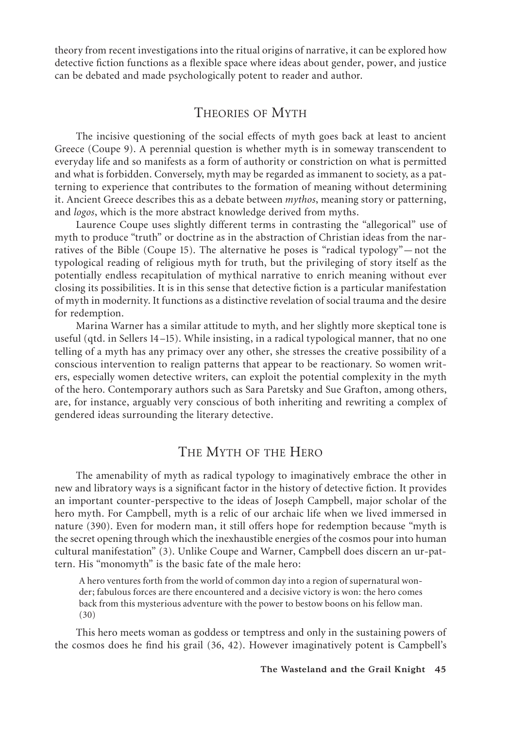theory from recent investigations into the ritual origins of narrative, it can be explored how detective fiction functions as a flexible space where ideas about gender, power, and justice can be debated and made psychologically potent to reader and author.

## THEORIES OF MYTH

The incisive questioning of the social effects of myth goes back at least to ancient Greece (Coupe 9). A perennial question is whether myth is in someway transcendent to everyday life and so manifests as a form of authority or constriction on what is permitted and what is forbidden. Conversely, myth may be regarded as immanent to society, as a patterning to experience that contributes to the formation of meaning without determining it. Ancient Greece describes this as a debate between *mythos*, meaning story or patterning, and *logos*, which is the more abstract knowledge derived from myths.

Laurence Coupe uses slightly different terms in contrasting the "allegorical" use of myth to produce "truth" or doctrine as in the abstraction of Christian ideas from the narratives of the Bible (Coupe 15). The alternative he poses is "radical typology"—not the typological reading of religious myth for truth, but the privileging of story itself as the potentially endless recapitulation of mythical narrative to enrich meaning without ever closing its possibilities. It is in this sense that detective fiction is a particular manifestation of myth in modernity. It functions as a distinctive revelation of social trauma and the desire for redemption.

Marina Warner has a similar attitude to myth, and her slightly more skeptical tone is useful (qtd. in Sellers 14–15). While insisting, in a radical typological manner, that no one telling of a myth has any primacy over any other, she stresses the creative possibility of a conscious intervention to realign patterns that appear to be reactionary. So women writers, especially women detective writers, can exploit the potential complexity in the myth of the hero. Contemporary authors such as Sara Paretsky and Sue Grafton, among others, are, for instance, arguably very conscious of both inheriting and rewriting a complex of gendered ideas surrounding the literary detective.

## THE MYTH OF THE HERO

The amenability of myth as radical typology to imaginatively embrace the other in new and libratory ways is a significant factor in the history of detective fiction. It provides an important counter-perspective to the ideas of Joseph Campbell, major scholar of the hero myth. For Campbell, myth is a relic of our archaic life when we lived immersed in nature (390). Even for modern man, it still offers hope for redemption because "myth is the secret opening through which the inexhaustible energies of the cosmos pour into human cultural manifestation" (3). Unlike Coupe and Warner, Campbell does discern an ur-pattern. His "monomyth" is the basic fate of the male hero:

A hero ventures forth from the world of common day into a region of supernatural wonder; fabulous forces are there encountered and a decisive victory is won: the hero comes back from this mysterious adventure with the power to bestow boons on his fellow man. (30)

This hero meets woman as goddess or temptress and only in the sustaining powers of the cosmos does he find his grail (36, 42). However imaginatively potent is Campbell's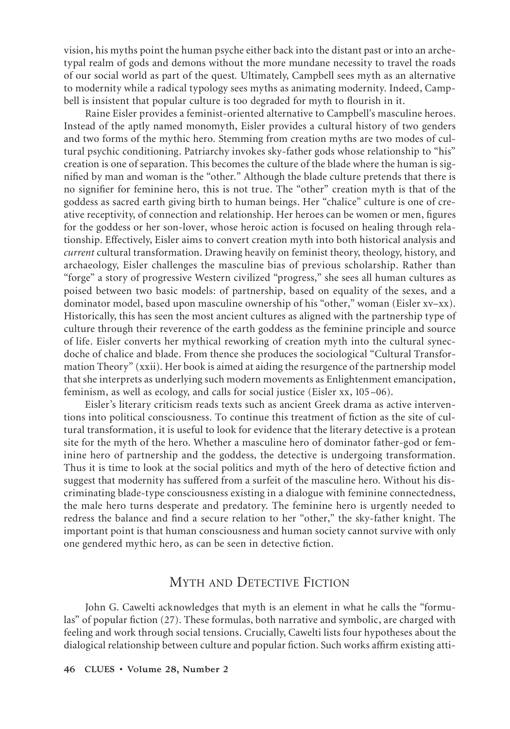vision, his myths point the human psyche either back into the distant past or into an archetypal realm of gods and demons without the more mundane necessity to travel the roads of our social world as part of the quest*.* Ultimately, Campbell sees myth as an alternative to modernity while a radical typology sees myths as animating modernity. Indeed, Campbell is insistent that popular culture is too degraded for myth to flourish in it.

Raine Eisler provides a feminist-oriented alternative to Campbell's masculine heroes. Instead of the aptly named monomyth, Eisler provides a cultural history of two genders and two forms of the mythic hero. Stemming from creation myths are two modes of cultural psychic conditioning. Patriarchy invokes sky-father gods whose relationship to "his" creation is one of separation. This becomes the culture of the blade where the human is signified by man and woman is the "other." Although the blade culture pretends that there is no signifier for feminine hero, this is not true. The "other" creation myth is that of the goddess as sacred earth giving birth to human beings. Her "chalice" culture is one of creative receptivity, of connection and relationship. Her heroes can be women or men, figures for the goddess or her son-lover, whose heroic action is focused on healing through relationship. Effectively, Eisler aims to convert creation myth into both historical analysis and *current* cultural transformation. Drawing heavily on feminist theory, theology, history, and archaeology, Eisler challenges the masculine bias of previous scholarship. Rather than "forge" a story of progressive Western civilized "progress," she sees all human cultures as poised between two basic models: of partnership, based on equality of the sexes, and a dominator model, based upon masculine ownership of his "other," woman (Eisler xv–xx). Historically, this has seen the most ancient cultures as aligned with the partnership type of culture through their reverence of the earth goddess as the feminine principle and source of life. Eisler converts her mythical reworking of creation myth into the cultural synecdoche of chalice and blade. From thence she produces the sociological "Cultural Transformation Theory" (xxii). Her book is aimed at aiding the resurgence of the partnership model that she interprets as underlying such modern movements as Enlightenment emancipation, feminism, as well as ecology, and calls for social justice (Eisler xx, 105–06).

Eisler's literary criticism reads texts such as ancient Greek drama as active interventions into political consciousness. To continue this treatment of fiction as the site of cultural transformation, it is useful to look for evidence that the literary detective is a protean site for the myth of the hero. Whether a masculine hero of dominator father-god or feminine hero of partnership and the goddess, the detective is undergoing transformation. Thus it is time to look at the social politics and myth of the hero of detective fiction and suggest that modernity has suffered from a surfeit of the masculine hero. Without his discriminating blade-type consciousness existing in a dialogue with feminine connectedness, the male hero turns desperate and predatory. The feminine hero is urgently needed to redress the balance and find a secure relation to her "other," the sky-father knight. The important point is that human consciousness and human society cannot survive with only one gendered mythic hero, as can be seen in detective fiction.

#### MYTH AND DETECTIVE FICTION

John G. Cawelti acknowledges that myth is an element in what he calls the "formulas" of popular fiction (27). These formulas, both narrative and symbolic, are charged with feeling and work through social tensions. Crucially, Cawelti lists four hypotheses about the dialogical relationship between culture and popular fiction. Such works affirm existing atti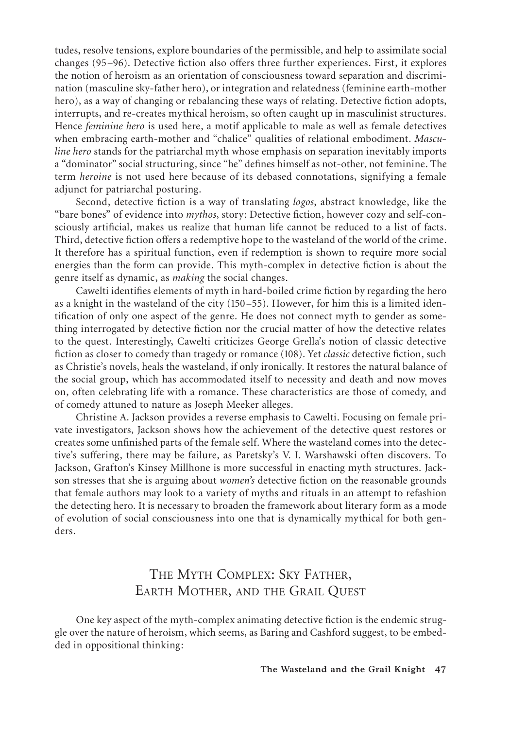tudes, resolve tensions, explore boundaries of the permissible, and help to assimilate social changes (95–96). Detective fiction also offers three further experiences. First, it explores the notion of heroism as an orientation of consciousness toward separation and discrimination (masculine sky-father hero), or integration and relatedness (feminine earth-mother hero), as a way of changing or rebalancing these ways of relating. Detective fiction adopts, interrupts, and re-creates mythical heroism, so often caught up in masculinist structures. Hence *feminine hero* is used here, a motif applicable to male as well as female detectives when embracing earth-mother and "chalice" qualities of relational embodiment. *Masculine hero* stands for the patriarchal myth whose emphasis on separation inevitably imports a "dominator" social structuring, since "he" defines himself as not-other, not feminine. The term *heroine* is not used here because of its debased connotations, signifying a female adjunct for patriarchal posturing.

Second, detective fiction is a way of translating *logos*, abstract knowledge, like the "bare bones" of evidence into *mythos*, story: Detective fiction, however cozy and self-consciously artificial, makes us realize that human life cannot be reduced to a list of facts. Third, detective fiction offers a redemptive hope to the wasteland of the world of the crime. It therefore has a spiritual function, even if redemption is shown to require more social energies than the form can provide. This myth-complex in detective fiction is about the genre itself as dynamic, as *making* the social changes.

Cawelti identifies elements of myth in hard-boiled crime fiction by regarding the hero as a knight in the wasteland of the city (150–55). However, for him this is a limited identification of only one aspect of the genre. He does not connect myth to gender as something interrogated by detective fiction nor the crucial matter of how the detective relates to the quest. Interestingly, Cawelti criticizes George Grella's notion of classic detective fiction as closer to comedy than tragedy or romance (108). Yet *classic* detective fiction, such as Christie's novels, heals the wasteland, if only ironically. It restores the natural balance of the social group, which has accommodated itself to necessity and death and now moves on, often celebrating life with a romance. These characteristics are those of comedy, and of comedy attuned to nature as Joseph Meeker alleges.

Christine A. Jackson provides a reverse emphasis to Cawelti. Focusing on female private investigators, Jackson shows how the achievement of the detective quest restores or creates some unfinished parts of the female self. Where the wasteland comes into the detective's suffering, there may be failure, as Paretsky's V. I. Warshawski often discovers. To Jackson, Grafton's Kinsey Millhone is more successful in enacting myth structures. Jackson stresses that she is arguing about *women's* detective fiction on the reasonable grounds that female authors may look to a variety of myths and rituals in an attempt to refashion the detecting hero. It is necessary to broaden the framework about literary form as a mode of evolution of social consciousness into one that is dynamically mythical for both genders.

# THE MYTH COMPLEX: SKY FATHER, EARTH MOTHER, AND THE GRAIL QUEST

One key aspect of the myth-complex animating detective fiction is the endemic struggle over the nature of heroism, which seems, as Baring and Cashford suggest, to be embedded in oppositional thinking: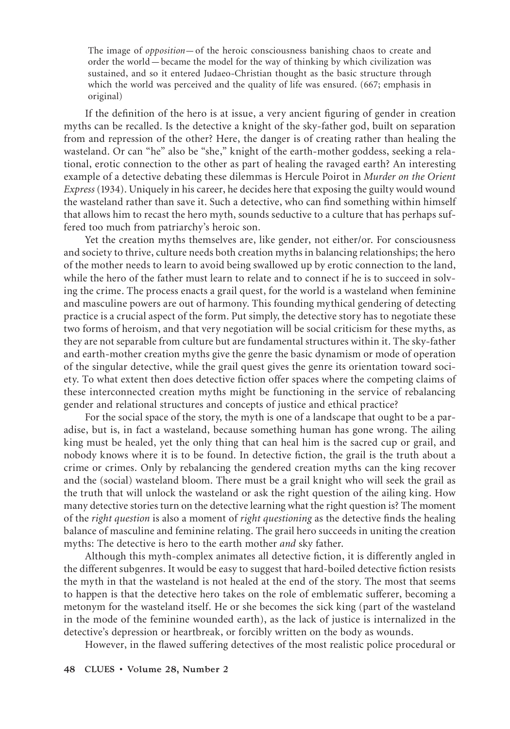The image of *opposition*—of the heroic consciousness banishing chaos to create and order the world—became the model for the way of thinking by which civilization was sustained, and so it entered Judaeo-Christian thought as the basic structure through which the world was perceived and the quality of life was ensured. (667; emphasis in original)

If the definition of the hero is at issue, a very ancient figuring of gender in creation myths can be recalled. Is the detective a knight of the sky-father god, built on separation from and repression of the other? Here, the danger is of creating rather than healing the wasteland. Or can "he" also be "she," knight of the earth-mother goddess, seeking a relational, erotic connection to the other as part of healing the ravaged earth? An interesting example of a detective debating these dilemmas is Hercule Poirot in *Murder on the Orient Express* (1934). Uniquely in his career, he decides here that exposing the guilty would wound the wasteland rather than save it. Such a detective, who can find something within himself that allows him to recast the hero myth, sounds seductive to a culture that has perhaps suffered too much from patriarchy's heroic son.

Yet the creation myths themselves are, like gender, not either/or. For consciousness and society to thrive, culture needs both creation myths in balancing relationships; the hero of the mother needs to learn to avoid being swallowed up by erotic connection to the land, while the hero of the father must learn to relate and to connect if he is to succeed in solving the crime. The process enacts a grail quest, for the world is a wasteland when feminine and masculine powers are out of harmony. This founding mythical gendering of detecting practice is a crucial aspect of the form. Put simply, the detective story has to negotiate these two forms of heroism, and that very negotiation will be social criticism for these myths, as they are not separable from culture but are fundamental structures within it. The sky-father and earth-mother creation myths give the genre the basic dynamism or mode of operation of the singular detective, while the grail quest gives the genre its orientation toward society. To what extent then does detective fiction offer spaces where the competing claims of these interconnected creation myths might be functioning in the service of rebalancing gender and relational structures and concepts of justice and ethical practice?

For the social space of the story, the myth is one of a landscape that ought to be a paradise, but is, in fact a wasteland, because something human has gone wrong. The ailing king must be healed, yet the only thing that can heal him is the sacred cup or grail, and nobody knows where it is to be found. In detective fiction, the grail is the truth about a crime or crimes. Only by rebalancing the gendered creation myths can the king recover and the (social) wasteland bloom. There must be a grail knight who will seek the grail as the truth that will unlock the wasteland or ask the right question of the ailing king. How many detective stories turn on the detective learning what the right question is? The moment of the *right question* is also a moment of *right questioning* as the detective finds the healing balance of masculine and feminine relating. The grail hero succeeds in uniting the creation myths: The detective is hero to the earth mother *and* sky father.

Although this myth-complex animates all detective fiction, it is differently angled in the different subgenres. It would be easy to suggest that hard-boiled detective fiction resists the myth in that the wasteland is not healed at the end of the story. The most that seems to happen is that the detective hero takes on the role of emblematic sufferer, becoming a metonym for the wasteland itself. He or she becomes the sick king (part of the wasteland in the mode of the feminine wounded earth), as the lack of justice is internalized in the detective's depression or heartbreak, or forcibly written on the body as wounds.

However, in the flawed suffering detectives of the most realistic police procedural or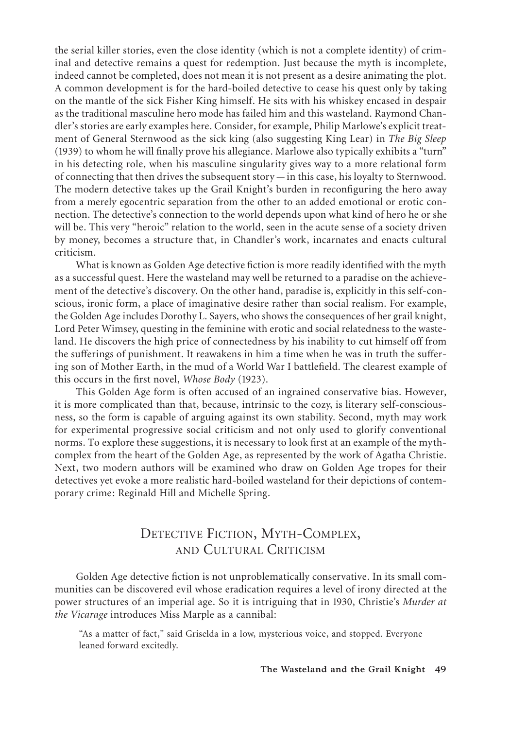the serial killer stories, even the close identity (which is not a complete identity) of criminal and detective remains a quest for redemption. Just because the myth is incomplete, indeed cannot be completed, does not mean it is not present as a desire animating the plot. A common development is for the hard-boiled detective to cease his quest only by taking on the mantle of the sick Fisher King himself. He sits with his whiskey encased in despair as the traditional masculine hero mode has failed him and this wasteland. Raymond Chandler's stories are early examples here. Consider, for example, Philip Marlowe's explicit treatment of General Sternwood as the sick king (also suggesting King Lear) in *The Big Sleep* (1939) to whom he will finally prove his allegiance. Marlowe also typically exhibits a "turn" in his detecting role, when his masculine singularity gives way to a more relational form of connecting that then drives the subsequent story—in this case, his loyalty to Sternwood. The modern detective takes up the Grail Knight's burden in reconfiguring the hero away from a merely egocentric separation from the other to an added emotional or erotic connection. The detective's connection to the world depends upon what kind of hero he or she will be. This very "heroic" relation to the world, seen in the acute sense of a society driven by money, becomes a structure that, in Chandler's work, incarnates and enacts cultural criticism.

What is known as Golden Age detective fiction is more readily identified with the myth as a successful quest. Here the wasteland may well be returned to a paradise on the achievement of the detective's discovery. On the other hand, paradise is, explicitly in this self-conscious, ironic form, a place of imaginative desire rather than social realism. For example, the Golden Age includes Dorothy L. Sayers, who shows the consequences of her grail knight, Lord Peter Wimsey, questing in the feminine with erotic and social relatedness to the wasteland. He discovers the high price of connectedness by his inability to cut himself off from the sufferings of punishment. It reawakens in him a time when he was in truth the suffering son of Mother Earth, in the mud of a World War I battlefield. The clearest example of this occurs in the first novel, *Whose Body* (1923).

This Golden Age form is often accused of an ingrained conservative bias. However, it is more complicated than that, because, intrinsic to the cozy, is literary self-consciousness, so the form is capable of arguing against its own stability. Second, myth may work for experimental progressive social criticism and not only used to glorify conventional norms. To explore these suggestions, it is necessary to look first at an example of the mythcomplex from the heart of the Golden Age, as represented by the work of Agatha Christie. Next, two modern authors will be examined who draw on Golden Age tropes for their detectives yet evoke a more realistic hard-boiled wasteland for their depictions of contemporary crime: Reginald Hill and Michelle Spring.

# DETECTIVE FICTION, MYTH-COMPLEX, AND CULTURAL CRITICISM

Golden Age detective fiction is not unproblematically conservative. In its small communities can be discovered evil whose eradication requires a level of irony directed at the power structures of an imperial age. So it is intriguing that in 1930, Christie's *Murder at the Vicarage* introduces Miss Marple as a cannibal:

"As a matter of fact," said Griselda in a low, mysterious voice, and stopped. Everyone leaned forward excitedly.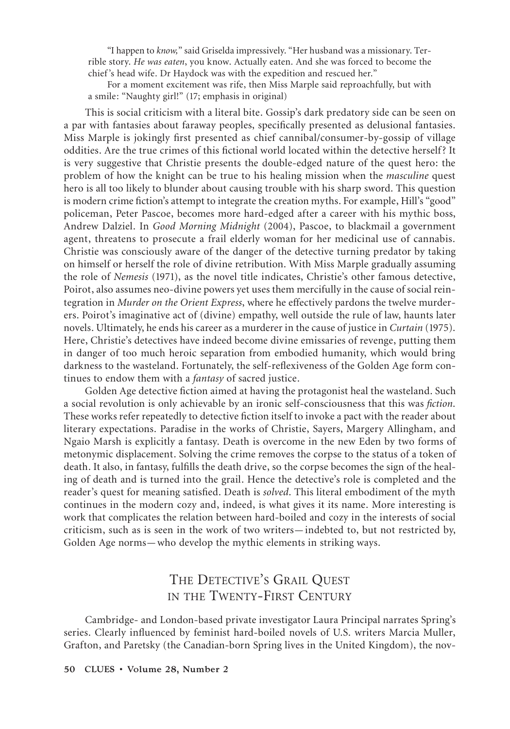"I happen to *know,*" said Griselda impressively. "Her husband was a missionary. Terrible story. *He was eaten*, you know. Actually eaten. And she was forced to become the chief 's head wife. Dr Haydock was with the expedition and rescued her."

For a moment excitement was rife, then Miss Marple said reproachfully, but with a smile: "Naughty girl!" (17; emphasis in original)

This is social criticism with a literal bite. Gossip's dark predatory side can be seen on a par with fantasies about faraway peoples, specifically presented as delusional fantasies. Miss Marple is jokingly first presented as chief cannibal/consumer-by-gossip of village oddities. Are the true crimes of this fictional world located within the detective herself? It is very suggestive that Christie presents the double-edged nature of the quest hero: the problem of how the knight can be true to his healing mission when the *masculine* quest hero is all too likely to blunder about causing trouble with his sharp sword. This question is modern crime fiction's attempt to integrate the creation myths. For example, Hill's "good" policeman, Peter Pascoe, becomes more hard-edged after a career with his mythic boss, Andrew Dalziel. In *Good Morning Midnight* (2004), Pascoe, to blackmail a government agent, threatens to prosecute a frail elderly woman for her medicinal use of cannabis. Christie was consciously aware of the danger of the detective turning predator by taking on himself or herself the role of divine retribution. With Miss Marple gradually assuming the role of *Nemesis* (1971), as the novel title indicates, Christie's other famous detective, Poirot, also assumes neo-divine powers yet uses them mercifully in the cause of social reintegration in *Murder on the Orient Express*, where he effectively pardons the twelve murderers. Poirot's imaginative act of (divine) empathy, well outside the rule of law, haunts later novels. Ultimately, he ends his career as a murderer in the cause of justice in *Curtain* (1975). Here, Christie's detectives have indeed become divine emissaries of revenge, putting them in danger of too much heroic separation from embodied humanity, which would bring darkness to the wasteland. Fortunately, the self-reflexiveness of the Golden Age form continues to endow them with a *fantasy* of sacred justice.

Golden Age detective fiction aimed at having the protagonist heal the wasteland. Such a social revolution is only achievable by an ironic self-consciousness that this was *fiction*. These works refer repeatedly to detective fiction itself to invoke a pact with the reader about literary expectations. Paradise in the works of Christie, Sayers, Margery Allingham, and Ngaio Marsh is explicitly a fantasy. Death is overcome in the new Eden by two forms of metonymic displacement. Solving the crime removes the corpse to the status of a token of death. It also, in fantasy, fulfills the death drive, so the corpse becomes the sign of the healing of death and is turned into the grail. Hence the detective's role is completed and the reader's quest for meaning satisfied. Death is *solved*. This literal embodiment of the myth continues in the modern cozy and, indeed, is what gives it its name. More interesting is work that complicates the relation between hard-boiled and cozy in the interests of social criticism, such as is seen in the work of two writers—indebted to, but not restricted by, Golden Age norms—who develop the mythic elements in striking ways.

# THE DETECTIVE'S GRAIL QUEST IN THE TWENTY-FIRST CENTURY

Cambridge- and London-based private investigator Laura Principal narrates Spring's series. Clearly influenced by feminist hard-boiled novels of U.S. writers Marcia Muller, Grafton, and Paretsky (the Canadian-born Spring lives in the United Kingdom), the nov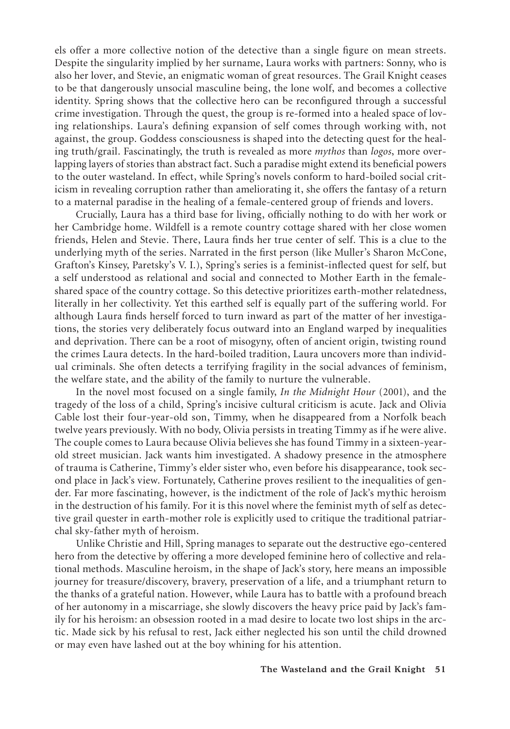els offer a more collective notion of the detective than a single figure on mean streets. Despite the singularity implied by her surname, Laura works with partners: Sonny, who is also her lover, and Stevie, an enigmatic woman of great resources. The Grail Knight ceases to be that dangerously unsocial masculine being, the lone wolf, and becomes a collective identity. Spring shows that the collective hero can be reconfigured through a successful crime investigation. Through the quest, the group is re-formed into a healed space of loving relationships. Laura's defining expansion of self comes through working with, not against, the group. Goddess consciousness is shaped into the detecting quest for the healing truth/grail. Fascinatingly, the truth is revealed as more *mythos* than *logos*, more overlapping layers of stories than abstract fact. Such a paradise might extend its beneficial powers to the outer wasteland. In effect, while Spring's novels conform to hard-boiled social criticism in revealing corruption rather than ameliorating it, she offers the fantasy of a return to a maternal paradise in the healing of a female-centered group of friends and lovers.

Crucially, Laura has a third base for living, officially nothing to do with her work or her Cambridge home. Wildfell is a remote country cottage shared with her close women friends, Helen and Stevie. There, Laura finds her true center of self. This is a clue to the underlying myth of the series. Narrated in the first person (like Muller's Sharon McCone, Grafton's Kinsey, Paretsky's V. I.), Spring's series is a feminist-inflected quest for self, but a self understood as relational and social and connected to Mother Earth in the femaleshared space of the country cottage. So this detective prioritizes earth-mother relatedness, literally in her collectivity. Yet this earthed self is equally part of the suffering world. For although Laura finds herself forced to turn inward as part of the matter of her investigations, the stories very deliberately focus outward into an England warped by inequalities and deprivation. There can be a root of misogyny, often of ancient origin, twisting round the crimes Laura detects. In the hard-boiled tradition, Laura uncovers more than individual criminals. She often detects a terrifying fragility in the social advances of feminism, the welfare state, and the ability of the family to nurture the vulnerable.

In the novel most focused on a single family, *In the Midnight Hour* (2001), and the tragedy of the loss of a child, Spring's incisive cultural criticism is acute. Jack and Olivia Cable lost their four-year-old son, Timmy, when he disappeared from a Norfolk beach twelve years previously. With no body, Olivia persists in treating Timmy as if he were alive. The couple comes to Laura because Olivia believes she has found Timmy in a sixteen-yearold street musician. Jack wants him investigated. A shadowy presence in the atmosphere of trauma is Catherine, Timmy's elder sister who, even before his disappearance, took second place in Jack's view. Fortunately, Catherine proves resilient to the inequalities of gender. Far more fascinating, however, is the indictment of the role of Jack's mythic heroism in the destruction of his family. For it is this novel where the feminist myth of self as detective grail quester in earth-mother role is explicitly used to critique the traditional patriarchal sky-father myth of heroism.

Unlike Christie and Hill, Spring manages to separate out the destructive ego-centered hero from the detective by offering a more developed feminine hero of collective and relational methods. Masculine heroism, in the shape of Jack's story, here means an impossible journey for treasure/discovery, bravery, preservation of a life, and a triumphant return to the thanks of a grateful nation. However, while Laura has to battle with a profound breach of her autonomy in a miscarriage, she slowly discovers the heavy price paid by Jack's family for his heroism: an obsession rooted in a mad desire to locate two lost ships in the arctic. Made sick by his refusal to rest, Jack either neglected his son until the child drowned or may even have lashed out at the boy whining for his attention.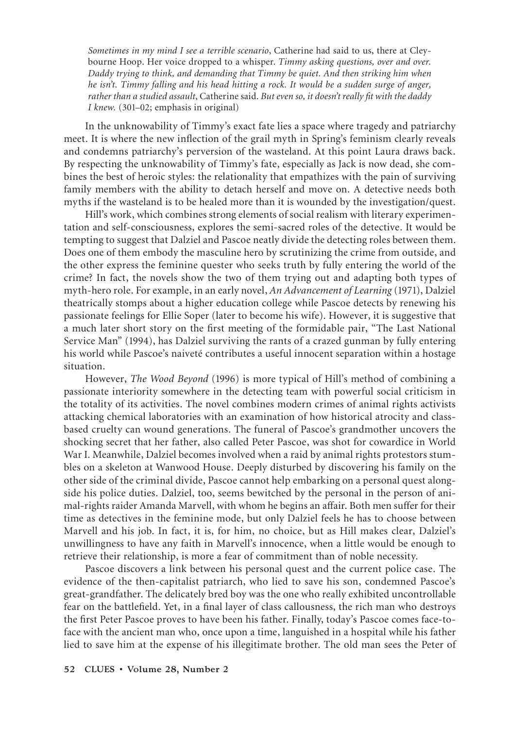*Sometimes in my mind I see a terrible scenario*, Catherine had said to us, there at Cleybourne Hoop. Her voice dropped to a whisper. *Timmy asking questions, over and over. Daddy trying to think, and demanding that Timmy be quiet. And then striking him when he isn't. Timmy falling and his head hitting a rock. It would be a sudden surge of anger, rather than a studied assault*, Catherine said. *But even so, it doesn't really fit with the daddy I knew.* (301–02; emphasis in original)

In the unknowability of Timmy's exact fate lies a space where tragedy and patriarchy meet. It is where the new inflection of the grail myth in Spring's feminism clearly reveals and condemns patriarchy's perversion of the wasteland. At this point Laura draws back. By respecting the unknowability of Timmy's fate, especially as Jack is now dead, she combines the best of heroic styles: the relationality that empathizes with the pain of surviving family members with the ability to detach herself and move on. A detective needs both myths if the wasteland is to be healed more than it is wounded by the investigation/quest.

Hill's work, which combines strong elements of social realism with literary experimentation and self-consciousness, explores the semi-sacred roles of the detective. It would be tempting to suggest that Dalziel and Pascoe neatly divide the detecting roles between them. Does one of them embody the masculine hero by scrutinizing the crime from outside, and the other express the feminine quester who seeks truth by fully entering the world of the crime? In fact, the novels show the two of them trying out and adapting both types of myth-hero role. For example, in an early novel, *An Advancement of Learning* (1971), Dalziel theatrically stomps about a higher education college while Pascoe detects by renewing his passionate feelings for Ellie Soper (later to become his wife). However, it is suggestive that a much later short story on the first meeting of the formidable pair, "The Last National Service Man" (1994), has Dalziel surviving the rants of a crazed gunman by fully entering his world while Pascoe's naiveté contributes a useful innocent separation within a hostage situation.

However, *The Wood Beyond* (1996) is more typical of Hill's method of combining a passionate interiority somewhere in the detecting team with powerful social criticism in the totality of its activities. The novel combines modern crimes of animal rights activists attacking chemical laboratories with an examination of how historical atrocity and classbased cruelty can wound generations. The funeral of Pascoe's grandmother uncovers the shocking secret that her father, also called Peter Pascoe, was shot for cowardice in World War I. Meanwhile, Dalziel becomes involved when a raid by animal rights protestors stumbles on a skeleton at Wanwood House. Deeply disturbed by discovering his family on the other side of the criminal divide, Pascoe cannot help embarking on a personal quest alongside his police duties. Dalziel, too, seems bewitched by the personal in the person of animal-rights raider Amanda Marvell, with whom he begins an affair. Both men suffer for their time as detectives in the feminine mode, but only Dalziel feels he has to choose between Marvell and his job. In fact, it is, for him, no choice, but as Hill makes clear, Dalziel's unwillingness to have any faith in Marvell's innocence, when a little would be enough to retrieve their relationship, is more a fear of commitment than of noble necessity.

Pascoe discovers a link between his personal quest and the current police case. The evidence of the then-capitalist patriarch, who lied to save his son, condemned Pascoe's great-grandfather. The delicately bred boy was the one who really exhibited uncontrollable fear on the battlefield. Yet, in a final layer of class callousness, the rich man who destroys the first Peter Pascoe proves to have been his father. Finally, today's Pascoe comes face-toface with the ancient man who, once upon a time, languished in a hospital while his father lied to save him at the expense of his illegitimate brother. The old man sees the Peter of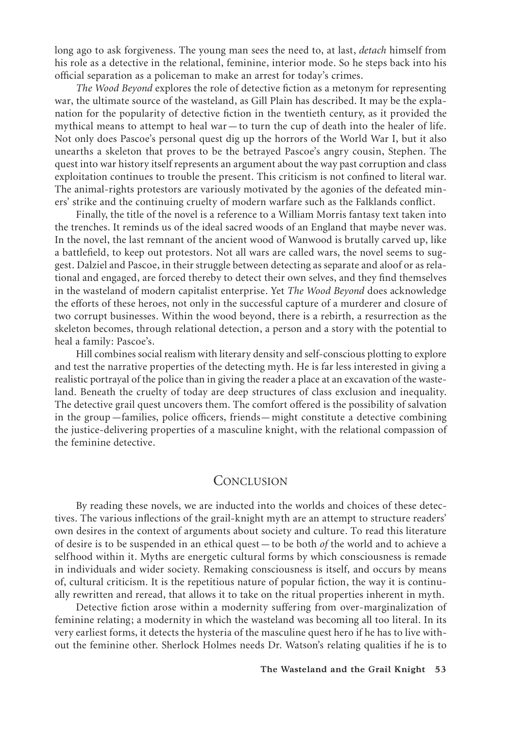long ago to ask forgiveness. The young man sees the need to, at last, *detach* himself from his role as a detective in the relational, feminine, interior mode. So he steps back into his official separation as a policeman to make an arrest for today's crimes.

*The Wood Beyond* explores the role of detective fiction as a metonym for representing war, the ultimate source of the wasteland, as Gill Plain has described. It may be the explanation for the popularity of detective fiction in the twentieth century, as it provided the mythical means to attempt to heal war—to turn the cup of death into the healer of life. Not only does Pascoe's personal quest dig up the horrors of the World War I, but it also unearths a skeleton that proves to be the betrayed Pascoe's angry cousin, Stephen. The quest into war history itself represents an argument about the way past corruption and class exploitation continues to trouble the present. This criticism is not confined to literal war. The animal-rights protestors are variously motivated by the agonies of the defeated miners' strike and the continuing cruelty of modern warfare such as the Falklands conflict.

Finally, the title of the novel is a reference to a William Morris fantasy text taken into the trenches. It reminds us of the ideal sacred woods of an England that maybe never was. In the novel, the last remnant of the ancient wood of Wanwood is brutally carved up, like a battlefield, to keep out protestors. Not all wars are called wars, the novel seems to suggest. Dalziel and Pascoe, in their struggle between detecting as separate and aloof or as relational and engaged, are forced thereby to detect their own selves, and they find themselves in the wasteland of modern capitalist enterprise. Yet *The Wood Beyond* does acknowledge the efforts of these heroes, not only in the successful capture of a murderer and closure of two corrupt businesses. Within the wood beyond, there is a rebirth, a resurrection as the skeleton becomes, through relational detection, a person and a story with the potential to heal a family: Pascoe's.

Hill combines social realism with literary density and self-conscious plotting to explore and test the narrative properties of the detecting myth. He is far less interested in giving a realistic portrayal of the police than in giving the reader a place at an excavation of the wasteland. Beneath the cruelty of today are deep structures of class exclusion and inequality. The detective grail quest uncovers them. The comfort offered is the possibility of salvation in the group—families, police officers, friends—might constitute a detective combining the justice-delivering properties of a masculine knight, with the relational compassion of the feminine detective.

#### **CONCLUSION**

By reading these novels, we are inducted into the worlds and choices of these detectives. The various inflections of the grail-knight myth are an attempt to structure readers' own desires in the context of arguments about society and culture. To read this literature of desire is to be suspended in an ethical quest—to be both *of* the world and to achieve a selfhood within it. Myths are energetic cultural forms by which consciousness is remade in individuals and wider society. Remaking consciousness is itself, and occurs by means of, cultural criticism. It is the repetitious nature of popular fiction, the way it is continually rewritten and reread, that allows it to take on the ritual properties inherent in myth.

Detective fiction arose within a modernity suffering from over-marginalization of feminine relating; a modernity in which the wasteland was becoming all too literal. In its very earliest forms, it detects the hysteria of the masculine quest hero if he has to live without the feminine other. Sherlock Holmes needs Dr. Watson's relating qualities if he is to